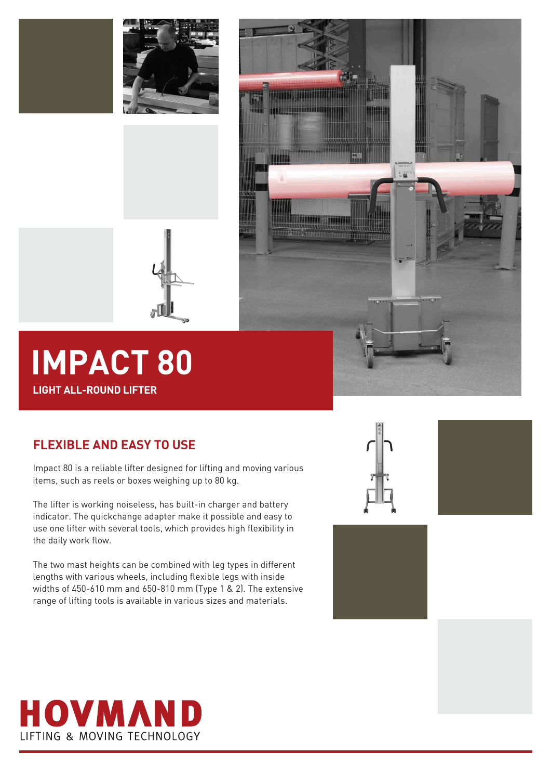





# **IMPACT 80 LIGHT ALL-ROUND LIFTER**

### **FLEXIBLE AND EASY TO USE**

Impact 80 is a reliable lifter designed for lifting and moving various items, such as reels or boxes weighing up to 80 kg.

The lifter is working noiseless, has built-in charger and battery indicator. The quickchange adapter make it possible and easy to use one lifter with several tools, which provides high flexibility in the daily work flow.

The two mast heights can be combined with leg types in different lengths with various wheels, including flexible legs with inside widths of 450-610 mm and 650-810 mm (Type 1 & 2). The extensive range of lifting tools is available in various sizes and materials.